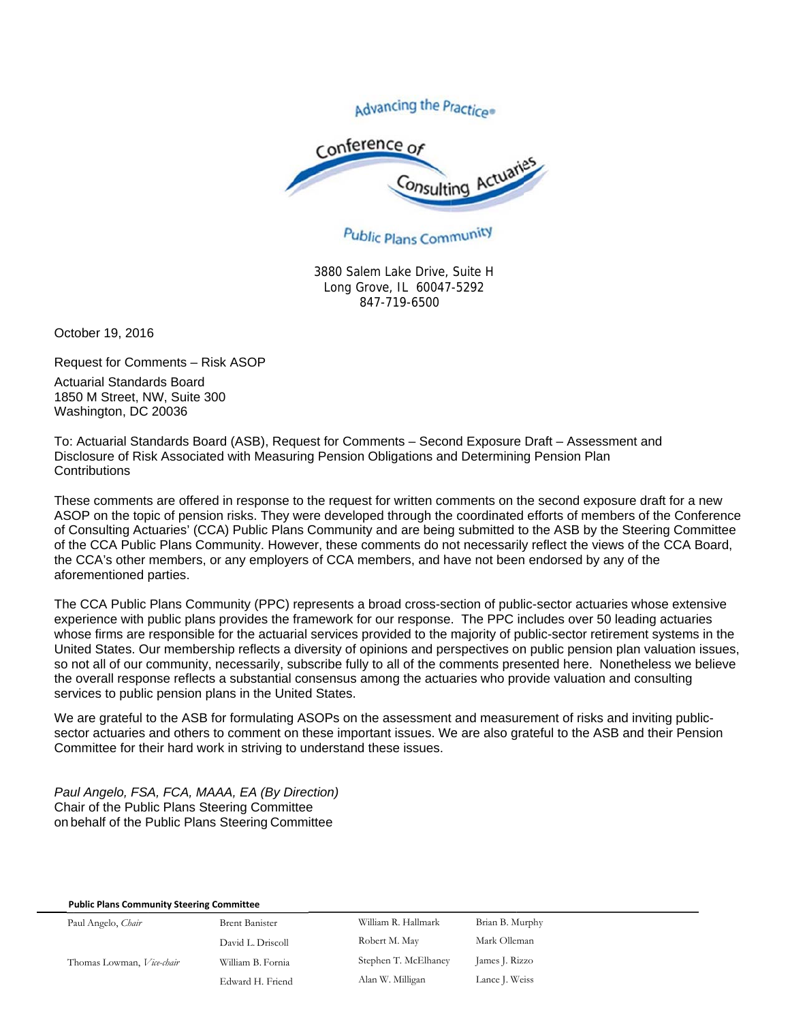Advancing the Practice®



## Public Plans Community

3880 Salem Lake Drive, Suite H Long Grove, IL 60047-5292 847-719-6500

October 19, 2016

Request for Comments – Risk ASOP Actuarial Standards Board

1850 M Street, NW, Suite 300 Washington, DC 20036

To: Actuarial Standards Board (ASB), Request for Comments – Second Exposure Draft – Assessment and Disclosure of Risk Associated with Measuring Pension Obligations and Determining Pension Plan **Contributions** 

These comments are offered in response to the request for written comments on the second exposure draft for a new ASOP on the topic of pension risks. They were developed through the coordinated efforts of members of the Conference of Consulting Actuaries' (CCA) Public Plans Community and are being submitted to the ASB by the Steering Committee of the CCA Public Plans Community. However, these comments do not necessarily reflect the views of the CCA Board, the CCA's other members, or any employers of CCA members, and have not been endorsed by any of the aforementioned parties.

The CCA Public Plans Community (PPC) represents a broad cross-section of public-sector actuaries whose extensive experience with public plans provides the framework for our response. The PPC includes over 50 leading actuaries whose firms are responsible for the actuarial services provided to the majority of public-sector retirement systems in the United States. Our membership reflects a diversity of opinions and perspectives on public pension plan valuation issues, so not all of our community, necessarily, subscribe fully to all of the comments presented here. Nonetheless we believe the overall response reflects a substantial consensus among the actuaries who provide valuation and consulting services to public pension plans in the United States.

We are grateful to the ASB for formulating ASOPs on the assessment and measurement of risks and inviting publicsector actuaries and others to comment on these important issues. We are also grateful to the ASB and their Pension Committee for their hard work in striving to understand these issues.

*Paul Angelo, FSA, FCA, MAAA, EA (By Direction)*  Chair of the Public Plans Steering Committee on behalf of the Public Plans Steering Committee

## **Public Plans Community Steering Committee**

Paul Angelo, *Chair* **Brent Banister** David L. Driscoll Thomas Lowman, *Vice-chair* William B. Fornia Edward H. Friend William R. Hallmark Brian B. Murphy Robert M. May Mark Olleman Stephen T. McElhaney James J. Rizzo Alan W. Milligan Lance J. Weiss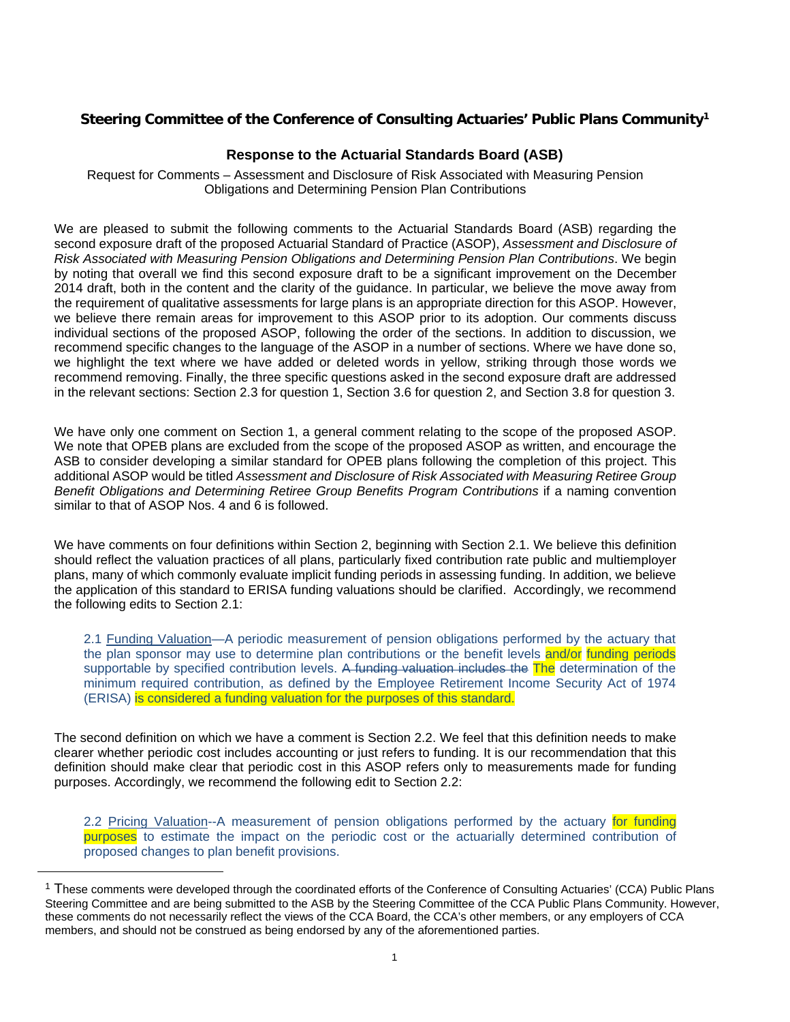## **Steering Committee of the Conference of Consulting Actuaries' Public Plans Community1**

## **Response to the Actuarial Standards Board (ASB)**

Request for Comments – Assessment and Disclosure of Risk Associated with Measuring Pension Obligations and Determining Pension Plan Contributions

We are pleased to submit the following comments to the Actuarial Standards Board (ASB) regarding the second exposure draft of the proposed Actuarial Standard of Practice (ASOP), *Assessment and Disclosure of Risk Associated with Measuring Pension Obligations and Determining Pension Plan Contributions*. We begin by noting that overall we find this second exposure draft to be a significant improvement on the December 2014 draft, both in the content and the clarity of the guidance. In particular, we believe the move away from the requirement of qualitative assessments for large plans is an appropriate direction for this ASOP. However, we believe there remain areas for improvement to this ASOP prior to its adoption. Our comments discuss individual sections of the proposed ASOP, following the order of the sections. In addition to discussion, we recommend specific changes to the language of the ASOP in a number of sections. Where we have done so, we highlight the text where we have added or deleted words in yellow, striking through those words we recommend removing. Finally, the three specific questions asked in the second exposure draft are addressed in the relevant sections: Section 2.3 for question 1, Section 3.6 for question 2, and Section 3.8 for question 3.

We have only one comment on Section 1, a general comment relating to the scope of the proposed ASOP. We note that OPEB plans are excluded from the scope of the proposed ASOP as written, and encourage the ASB to consider developing a similar standard for OPEB plans following the completion of this project. This additional ASOP would be titled *Assessment and Disclosure of Risk Associated with Measuring Retiree Group Benefit Obligations and Determining Retiree Group Benefits Program Contributions* if a naming convention similar to that of ASOP Nos. 4 and 6 is followed.

We have comments on four definitions within Section 2, beginning with Section 2.1. We believe this definition should reflect the valuation practices of all plans, particularly fixed contribution rate public and multiemployer plans, many of which commonly evaluate implicit funding periods in assessing funding. In addition, we believe the application of this standard to ERISA funding valuations should be clarified. Accordingly, we recommend the following edits to Section 2.1:

2.1 Funding Valuation-A periodic measurement of pension obligations performed by the actuary that the plan sponsor may use to determine plan contributions or the benefit levels and/or funding periods supportable by specified contribution levels. A funding valuation includes the The determination of the minimum required contribution, as defined by the Employee Retirement Income Security Act of 1974 (ERISA) is considered a funding valuation for the purposes of this standard.

The second definition on which we have a comment is Section 2.2. We feel that this definition needs to make clearer whether periodic cost includes accounting or just refers to funding. It is our recommendation that this definition should make clear that periodic cost in this ASOP refers only to measurements made for funding purposes. Accordingly, we recommend the following edit to Section 2.2:

2.2 Pricing Valuation--A measurement of pension obligations performed by the actuary for funding purposes to estimate the impact on the periodic cost or the actuarially determined contribution of proposed changes to plan benefit provisions.

<sup>&</sup>lt;sup>1</sup> These comments were developed through the coordinated efforts of the Conference of Consulting Actuaries' (CCA) Public Plans Steering Committee and are being submitted to the ASB by the Steering Committee of the CCA Public Plans Community. However, these comments do not necessarily reflect the views of the CCA Board, the CCA's other members, or any employers of CCA members, and should not be construed as being endorsed by any of the aforementioned parties.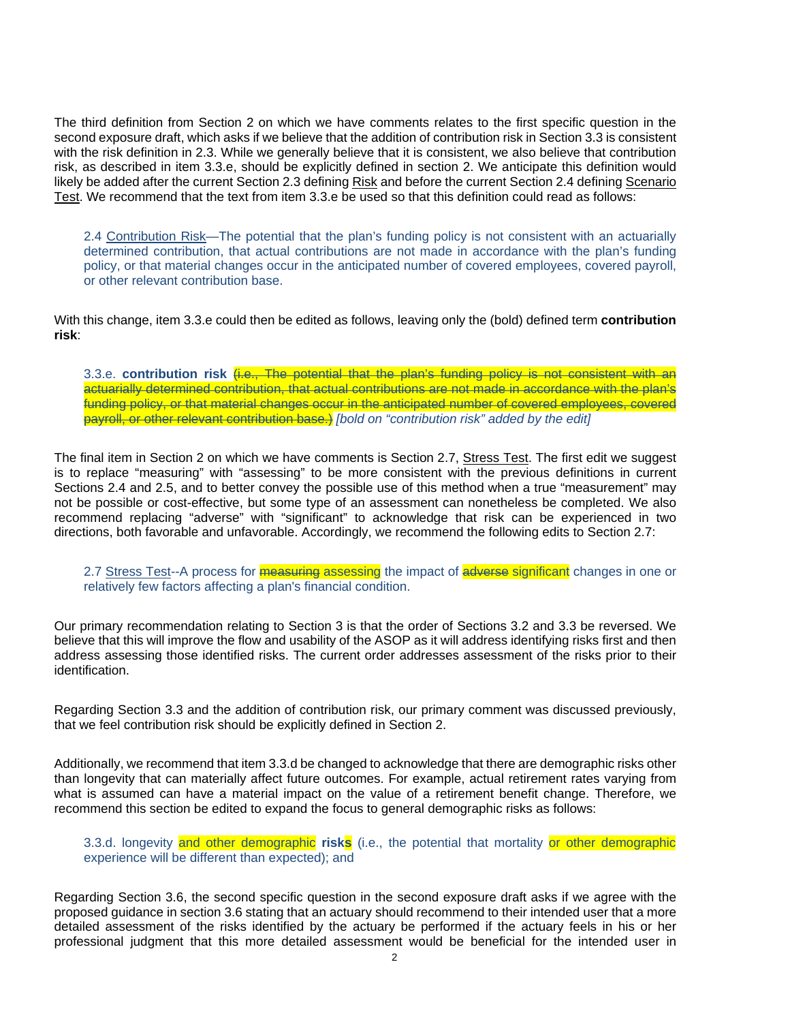The third definition from Section 2 on which we have comments relates to the first specific question in the second exposure draft, which asks if we believe that the addition of contribution risk in Section 3.3 is consistent with the risk definition in 2.3. While we generally believe that it is consistent, we also believe that contribution risk, as described in item 3.3.e, should be explicitly defined in section 2. We anticipate this definition would likely be added after the current Section 2.3 defining Risk and before the current Section 2.4 defining Scenario Test. We recommend that the text from item 3.3.e be used so that this definition could read as follows:

2.4 Contribution Risk—The potential that the plan's funding policy is not consistent with an actuarially determined contribution, that actual contributions are not made in accordance with the plan's funding policy, or that material changes occur in the anticipated number of covered employees, covered payroll, or other relevant contribution base.

With this change, item 3.3.e could then be edited as follows, leaving only the (bold) defined term **contribution risk**:

3.3.e. **contribution risk** (i.e., The potential that the plan's funding policy is not consistent with an actuarially determined contribution, that actual contributions are not made in accordance with the plan's funding policy, or that material changes occur in the anticipated number of covered employees, covered payroll, or other relevant contribution base.) *[bold on "contribution risk" added by the edit]*

The final item in Section 2 on which we have comments is Section 2.7, Stress Test. The first edit we suggest is to replace "measuring" with "assessing" to be more consistent with the previous definitions in current Sections 2.4 and 2.5, and to better convey the possible use of this method when a true "measurement" may not be possible or cost-effective, but some type of an assessment can nonetheless be completed. We also recommend replacing "adverse" with "significant" to acknowledge that risk can be experienced in two directions, both favorable and unfavorable. Accordingly, we recommend the following edits to Section 2.7:

2.7 Stress Test--A process for **measuring assessing** the impact of adverse significant changes in one or relatively few factors affecting a plan's financial condition.

Our primary recommendation relating to Section 3 is that the order of Sections 3.2 and 3.3 be reversed. We believe that this will improve the flow and usability of the ASOP as it will address identifying risks first and then address assessing those identified risks. The current order addresses assessment of the risks prior to their identification.

Regarding Section 3.3 and the addition of contribution risk, our primary comment was discussed previously, that we feel contribution risk should be explicitly defined in Section 2.

Additionally, we recommend that item 3.3.d be changed to acknowledge that there are demographic risks other than longevity that can materially affect future outcomes. For example, actual retirement rates varying from what is assumed can have a material impact on the value of a retirement benefit change. Therefore, we recommend this section be edited to expand the focus to general demographic risks as follows:

3.3.d. longevity and other demographic **risks** (i.e., the potential that mortality or other demographic experience will be different than expected); and

Regarding Section 3.6, the second specific question in the second exposure draft asks if we agree with the proposed guidance in section 3.6 stating that an actuary should recommend to their intended user that a more detailed assessment of the risks identified by the actuary be performed if the actuary feels in his or her professional judgment that this more detailed assessment would be beneficial for the intended user in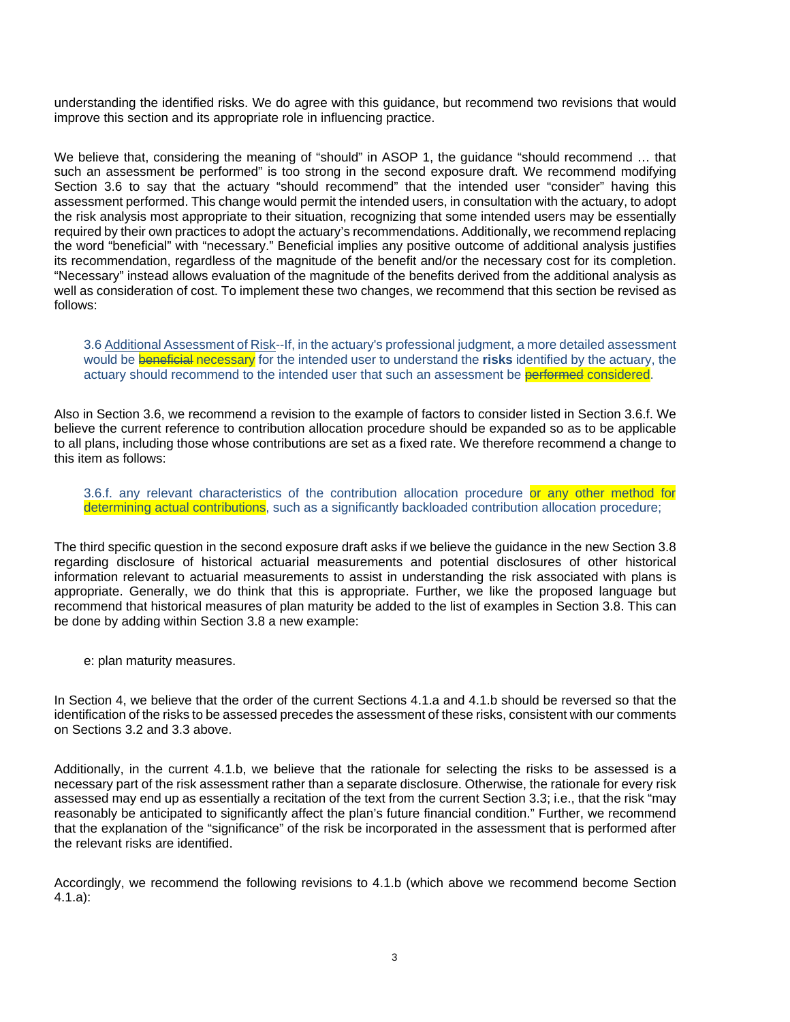understanding the identified risks. We do agree with this guidance, but recommend two revisions that would improve this section and its appropriate role in influencing practice.

We believe that, considering the meaning of "should" in ASOP 1, the guidance "should recommend ... that such an assessment be performed" is too strong in the second exposure draft. We recommend modifying Section 3.6 to say that the actuary "should recommend" that the intended user "consider" having this assessment performed. This change would permit the intended users, in consultation with the actuary, to adopt the risk analysis most appropriate to their situation, recognizing that some intended users may be essentially required by their own practices to adopt the actuary's recommendations. Additionally, we recommend replacing the word "beneficial" with "necessary." Beneficial implies any positive outcome of additional analysis justifies its recommendation, regardless of the magnitude of the benefit and/or the necessary cost for its completion. "Necessary" instead allows evaluation of the magnitude of the benefits derived from the additional analysis as well as consideration of cost. To implement these two changes, we recommend that this section be revised as follows:

3.6 Additional Assessment of Risk--If, in the actuary's professional judgment, a more detailed assessment would be beneficial necessary for the intended user to understand the **risks** identified by the actuary, the actuary should recommend to the intended user that such an assessment be performed considered.

Also in Section 3.6, we recommend a revision to the example of factors to consider listed in Section 3.6.f. We believe the current reference to contribution allocation procedure should be expanded so as to be applicable to all plans, including those whose contributions are set as a fixed rate. We therefore recommend a change to this item as follows:

3.6.f. any relevant characteristics of the contribution allocation procedure or any other method for determining actual contributions, such as a significantly backloaded contribution allocation procedure;

The third specific question in the second exposure draft asks if we believe the guidance in the new Section 3.8 regarding disclosure of historical actuarial measurements and potential disclosures of other historical information relevant to actuarial measurements to assist in understanding the risk associated with plans is appropriate. Generally, we do think that this is appropriate. Further, we like the proposed language but recommend that historical measures of plan maturity be added to the list of examples in Section 3.8. This can be done by adding within Section 3.8 a new example:

e: plan maturity measures.

In Section 4, we believe that the order of the current Sections 4.1.a and 4.1.b should be reversed so that the identification of the risks to be assessed precedes the assessment of these risks, consistent with our comments on Sections 3.2 and 3.3 above.

Additionally, in the current 4.1.b, we believe that the rationale for selecting the risks to be assessed is a necessary part of the risk assessment rather than a separate disclosure. Otherwise, the rationale for every risk assessed may end up as essentially a recitation of the text from the current Section 3.3; i.e., that the risk "may reasonably be anticipated to significantly affect the plan's future financial condition." Further, we recommend that the explanation of the "significance" of the risk be incorporated in the assessment that is performed after the relevant risks are identified.

Accordingly, we recommend the following revisions to 4.1.b (which above we recommend become Section 4.1.a):